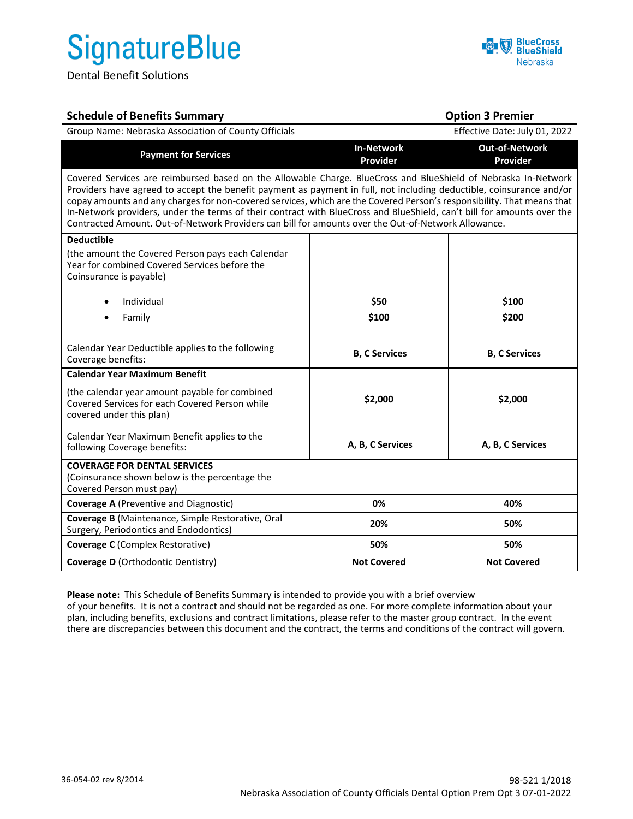## **SignatureBlue**

Dental Benefit Solutions



| <b>Schedule of Benefits Summary</b>                                                                                                                                                                                                                                                                                                                                                                                                                                                                                                                                                               |                               | <b>Option 3 Premier</b>           |  |
|---------------------------------------------------------------------------------------------------------------------------------------------------------------------------------------------------------------------------------------------------------------------------------------------------------------------------------------------------------------------------------------------------------------------------------------------------------------------------------------------------------------------------------------------------------------------------------------------------|-------------------------------|-----------------------------------|--|
| Group Name: Nebraska Association of County Officials                                                                                                                                                                                                                                                                                                                                                                                                                                                                                                                                              |                               | Effective Date: July 01, 2022     |  |
| <b>Payment for Services</b>                                                                                                                                                                                                                                                                                                                                                                                                                                                                                                                                                                       | <b>In-Network</b><br>Provider | <b>Out-of-Network</b><br>Provider |  |
| Covered Services are reimbursed based on the Allowable Charge. BlueCross and BlueShield of Nebraska In-Network<br>Providers have agreed to accept the benefit payment as payment in full, not including deductible, coinsurance and/or<br>copay amounts and any charges for non-covered services, which are the Covered Person's responsibility. That means that<br>In-Network providers, under the terms of their contract with BlueCross and BlueShield, can't bill for amounts over the<br>Contracted Amount. Out-of-Network Providers can bill for amounts over the Out-of-Network Allowance. |                               |                                   |  |
| <b>Deductible</b>                                                                                                                                                                                                                                                                                                                                                                                                                                                                                                                                                                                 |                               |                                   |  |
| (the amount the Covered Person pays each Calendar<br>Year for combined Covered Services before the<br>Coinsurance is payable)                                                                                                                                                                                                                                                                                                                                                                                                                                                                     |                               |                                   |  |
| Individual                                                                                                                                                                                                                                                                                                                                                                                                                                                                                                                                                                                        | \$50                          | \$100                             |  |
| Family                                                                                                                                                                                                                                                                                                                                                                                                                                                                                                                                                                                            | \$100                         | \$200                             |  |
|                                                                                                                                                                                                                                                                                                                                                                                                                                                                                                                                                                                                   |                               |                                   |  |
| Calendar Year Deductible applies to the following<br>Coverage benefits:                                                                                                                                                                                                                                                                                                                                                                                                                                                                                                                           | <b>B, C Services</b>          | <b>B, C Services</b>              |  |
| <b>Calendar Year Maximum Benefit</b>                                                                                                                                                                                                                                                                                                                                                                                                                                                                                                                                                              |                               |                                   |  |
| (the calendar year amount payable for combined<br>Covered Services for each Covered Person while<br>covered under this plan)                                                                                                                                                                                                                                                                                                                                                                                                                                                                      | \$2,000                       | \$2,000                           |  |
| Calendar Year Maximum Benefit applies to the<br>following Coverage benefits:                                                                                                                                                                                                                                                                                                                                                                                                                                                                                                                      | A, B, C Services              | A, B, C Services                  |  |
| <b>COVERAGE FOR DENTAL SERVICES</b><br>(Coinsurance shown below is the percentage the<br>Covered Person must pay)                                                                                                                                                                                                                                                                                                                                                                                                                                                                                 |                               |                                   |  |
| <b>Coverage A (Preventive and Diagnostic)</b>                                                                                                                                                                                                                                                                                                                                                                                                                                                                                                                                                     | 0%                            | 40%                               |  |
| Coverage B (Maintenance, Simple Restorative, Oral<br>Surgery, Periodontics and Endodontics)                                                                                                                                                                                                                                                                                                                                                                                                                                                                                                       | 20%                           | 50%                               |  |
| <b>Coverage C</b> (Complex Restorative)                                                                                                                                                                                                                                                                                                                                                                                                                                                                                                                                                           | 50%                           | 50%                               |  |
| <b>Coverage D (Orthodontic Dentistry)</b>                                                                                                                                                                                                                                                                                                                                                                                                                                                                                                                                                         | <b>Not Covered</b>            | <b>Not Covered</b>                |  |

**Please note:** This Schedule of Benefits Summary is intended to provide you with a brief overview of your benefits. It is not a contract and should not be regarded as one. For more complete information about your plan, including benefits, exclusions and contract limitations, please refer to the master group contract. In the event there are discrepancies between this document and the contract, the terms and conditions of the contract will govern.